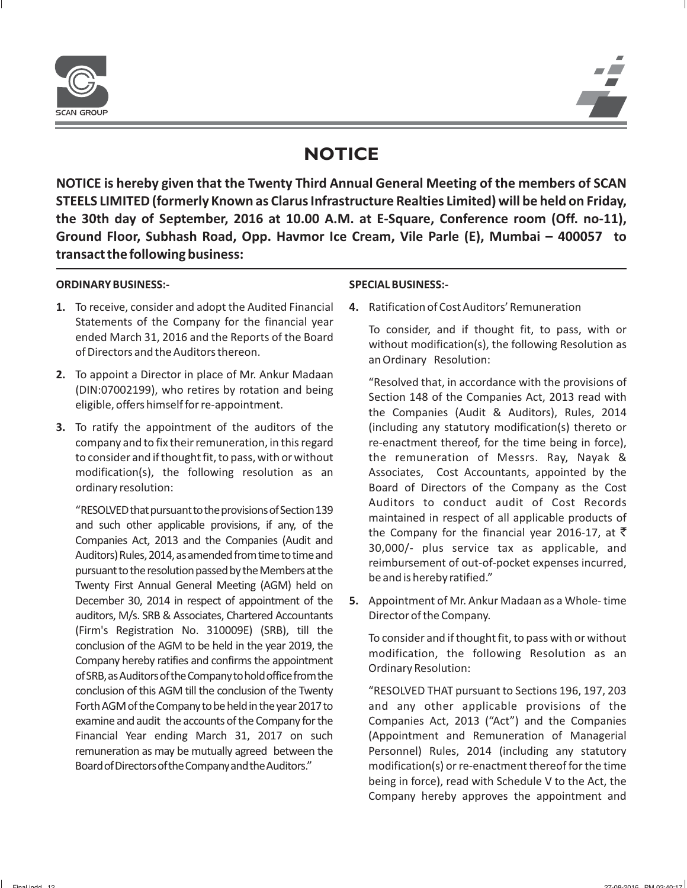

# **NOTICE**

**NOTICE is hereby given that the Twenty Third Annual General Meeting of the members of SCAN STEELS LIMITED (formerly Known as Clarus Infrastructure Realties Limited) will be held on Friday, the 30th day of September, 2016 at 10.00 A.M. at E-Square, Conference room (Off. no-11), Ground Floor, Subhash Road, Opp. Havmor Ice Cream, Vile Parle (E), Mumbai – 400057 to transact the following business:**

## **ORDINARY BUSINESS:- SPECIAL BUSINESS:-**

- **1.** To receive, consider and adopt the Audited Financial **4.** Ratification of Cost Auditors' Remuneration Statements of the Company for the financial year<br>
ended March 31, 2016 and the Reports of the Board<br>
of Directors and the Auditors thereon.<br>
an Ordinary Resolution:<br>
an Ordinary Resolution:
- 2. To appoint a Director in place of Mr. Ankur Madaan (DIN:07002199), who retires by rotation and being eligible, offers himself for re-appointment.<br>
eligible, offers himself for re-appointment.<br>
the Companies (Audit & Aud
- **3.** To ratify the appointment of the auditors of the (including any statutory modification(s) thereto or company and to fix their remuneration, in this regard re-enactment thereof, for the time being in force), to consider and if thought fit, to pass, with or without the remuneration of Messrs. Ray, Nayak & modification(s), the following resolution as an Associates, Cost Accountants, appointed by the ordinary resolution: Board of Directors of the Company as the Cost

Auditors to conduct audit of Cost Records<br>
and such other applicable provisions of Section 139<br>
and such other applicable provisions, if any, of the<br>
Companies Act, 2013 and the Companies (Audit and<br>
Auditors) Rules, 2014 auditors, M/s. SRB & Associates, Chartered Accountants Director of the Company. (Firm's Registration No. 310009E) (SRB), till the<br>conclusion of the AGM to be held in the year 2019, the<br>Company hereby ratifies and confirms the appointment<br>of SRB, as Auditors of the Company to hold office from the<br>ordin conclusion of this AGM till the conclusion of the Twenty "RESOLVED THAT pursuant to Sections 196, 197, 203 ForthAGMoftheCompanytobeheldintheyear2017to and any other applicable provisions of the examine and audit the accounts of the Company for the Companies Act, 2013 ("Act") and the Companies Financial Year ending March 31, 2017 on such (Appointment and Remuneration of Managerial remuneration as may be mutually agreed between the Personnel) Rules, 2014 (including any statutory BoardofDirectorsoftheCompanyandtheAuditors." modification(s) or re-enactment thereof for the time

December 30, 2014 in respect of appointment of the **5.** Appointment of Mr. Ankur Madaan as a Whole- time

being in force), read with Schedule V to the Act, the Company hereby approves the appointment and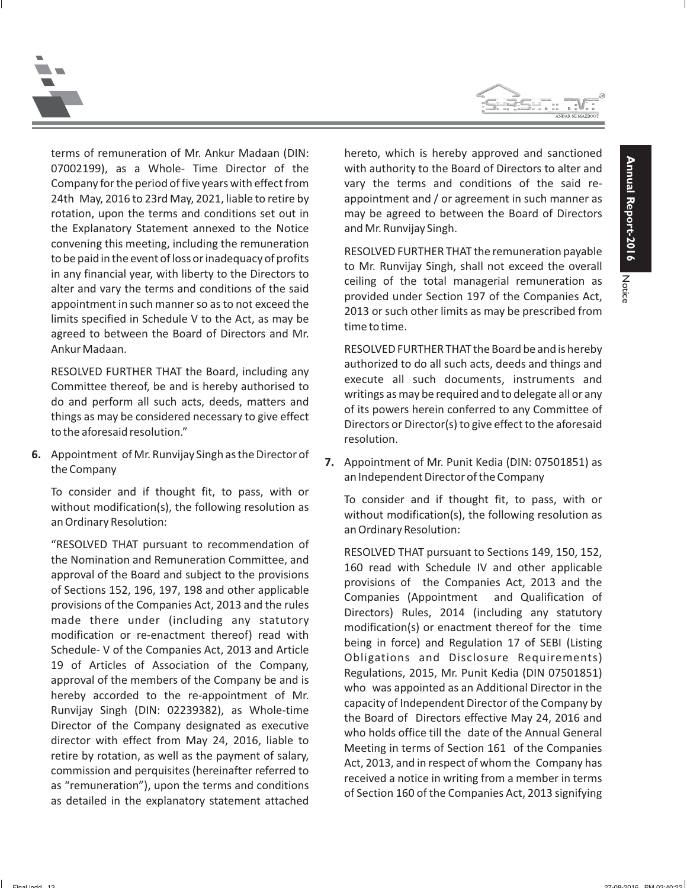Notice





terms of remuneration of Mr. Ankur Madaan (DIN: hereto, which is hereby approved and sanctioned 07002199), as a Whole- Time Director of the with authority to the Board of Directors to alter and Company for the period of five years with effect from vary the terms and conditions of the said re-24th May, 2016 to 23rd May, 2021, liable to retire by appointment and / or agreement in such manner as rotation, upon the terms and conditions set out in may be agreed to between the Board of Directors the Explanatory Statement annexed to the Notice and Mr. Runvijay Singh. convening this meeting, including the remuneration<br>to be paid in the event of loss or inadequacy of profits<br>in any financial year, with liberty to the Directors to<br>alter and vary the terms and conditions of the said<br>appoin Ankur Madaan. RESOLVED FURTHER THAT the Board be and is hereby

**6.** Appointment of Mr. Runvijay Singh as the Director of **7.** Appointment of Mr. Punit Kedia (DIN: 07501851) as the Company an Independent Director of the Company

To consider and if thought fit, to pass, with or<br>without modification(s), the following resolution as<br>an Ordinary Resolution:<br>an Ordinary Resolution:<br>an Ordinary Resolution:<br>an Ordinary Resolution:

"RESOLVED THAT pursuant to recommendation of<br>
the Nomination and Removisions and approval of the Board and subject to the provisions<br>
approval of the Board and subject to the provisions<br>
of Sections 152, 196, 197, 198 and

RESOLVED FURTHER THAT the Board, including any<br>
Committee thereof, be and is hereby authorised to<br>
do and perform all such acts, deeds, matters and<br>
things as may be considered necessary to give effect<br>
to the aforesaid re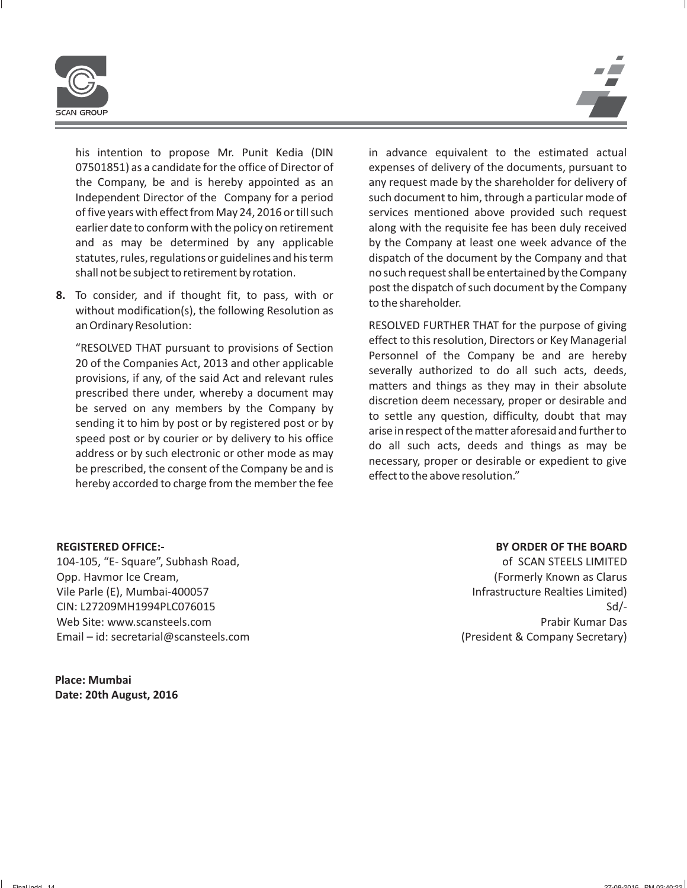

his intention to propose Mr. Punit Kedia (DIN in advance equivalent to the estimated actual 07501851) as a candidate for the office of Director of expenses of delivery of the documents, pursuant to the Company, be and is hereby appointed as an any request made by the shareholder for delivery of Independent Director of the Company for a period such document to him, through a particular mode of of five years with effect from May 24, 2016 or till such services mentioned above provided such request earlier date to conform with the policy on retirement along with the requisite fee has been duly received and as may be determined by any applicable by the Company at least one week advance of the statutes, rules, regulations or guidelines and his term dispatch of the document by the Company and that shall not be subject to retirement by rotation. no such request shall be entertained by the Company

8. To consider, and if thought fit, to pass, with or post the dispatch of such document by the Company<br>without modification(s), the following Resolution as **to the shareholder**. an Ordinary Resolution: RESOLVED FURTHER THAT for the purpose of giving

FINAT pursuant to provisions of Section<br>
20 of the Companies Act, 2013 and other applicable<br>
provisions, if any, of the said Act and relevant rules<br>
prescribed there under, whereby a document may<br>
be severally authorized t

### **REGISTERED OFFICE:-**

104-105, "E- Square", Subhash Road, Opp. Havmor Ice Cream, Vile Parle (E), Mumbai-400057 CIN: L27209MH1994PLC076015 Web Site: www.scansteels.com Email – id: secretarial@scansteels.com

**Place: Mumbai Date: 20th August, 2016**

### **BY ORDER OF THE BOARD**

of SCAN STEELS LIMITED (Formerly Known as Clarus Infrastructure Realties Limited) Sd/- Prabir Kumar Das (President & Company Secretary)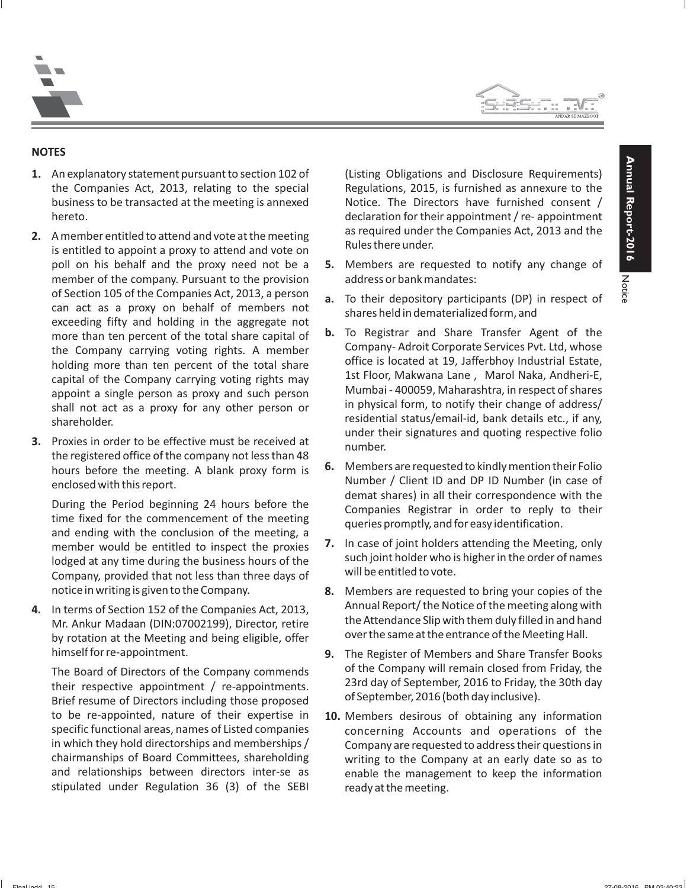



### **NOTES**

- **1.** An explanatory statement pursuant to section 102 of (Listing Obligations and Disclosure Requirements) the Companies Act, 2013, relating to the special Regulations, 2015, is furnished as annexure to the business to be transacted at the meeting is annexed Notice. The Directors have furnished consent / hereto. **hereto.** declaration for their appointment / re- appointment
- member of the company. Pursuant to the provision address or bank mandates: of Section 105 of the Companies Act, 2013, a person<br>can act as a proxy on behalf of members not<br>exceeding fifty and holding in the aggregate not<br>more than ten percent of the total share capital of **b.** To Registrar and Sha
- the registered office of the company not less than 48

lodged at any time during the business hours of the such joint holder who is<br>Company, provided that not less than three days of will be entitled to vote. notice in writing is given to the Company. **8.** Members are requested to bring your copies of the

by rotation at the Meeting and being eligible, offer

to be re-appointed, nature of their expertise in **10.** Members desirous of obtaining any information stipulated under Regulation 36 (3) of the SEBI ready at the meeting.

2. A member entitled to attend and vote at the meeting as required under the Companies Act, 2013 and the is entitled to appoint a proxy to attend and vote on **Rules there under**.

- poll on his behalf and the proxy need not be a **5.** Members are requested to notify any change of
	-
- more than ten percent of the total share capital of **b.** Io Registrar and Share Transfer Agent of the<br>the Company carrying voting rights A member Company-Adroit Corporate Services Pyt. Ltd, whose the Company carrying voting rights. A member<br>
holding more than ten percent of the total share<br>
capital of the Company carrying voting rights may<br>
appoint a single person as proxy and such person<br>
shall not act as a proxy under their signatures and quoting respective folio **3.** Proxies in order to be effective must be received at number.
	- hours before the meeting. A blank proxy form is **6.** Members are requested to kindly mention their Folio Number / Client ID and DP ID Number (in case of demat shares) in all their correspondence with the time fixed for the
	- member would be entitled to inspect the proxies 7. In case of joint holders attending the Meeting, only<br>lodged at any time during the business hours of the such joint holder who is higher in the order of names
- 4. In terms of Section 152 of the Companies Act, 2013, Annual Report/ the Notice of the meeting along with Mr. Ankur Madaan (DIN:07002199), Director, retire the Attendance Slip with them duly filled in and hand<br>by rotation at the Meeting and heing eligible, effectively over the same at the entrance of the Meeting Hall.
	- himself for re-appointment. **9.** The Register of Members and Share Transfer Books The Board of Directors of the Company commends of the Company will remain closed from Friday, the their respective appointment / re-appointments.<br>Brief resume of Directors including those proposed of September, 2016 (both
	- concerning Accounts and operations of the in which they hold directorships and memberships / Company are requested to address their questions in chairmanships of Board Committees, shareholding writing to the Company at an early date so as to and relationships between directors inter-se as enable the management to keep the information enable the management to keep the information

Notice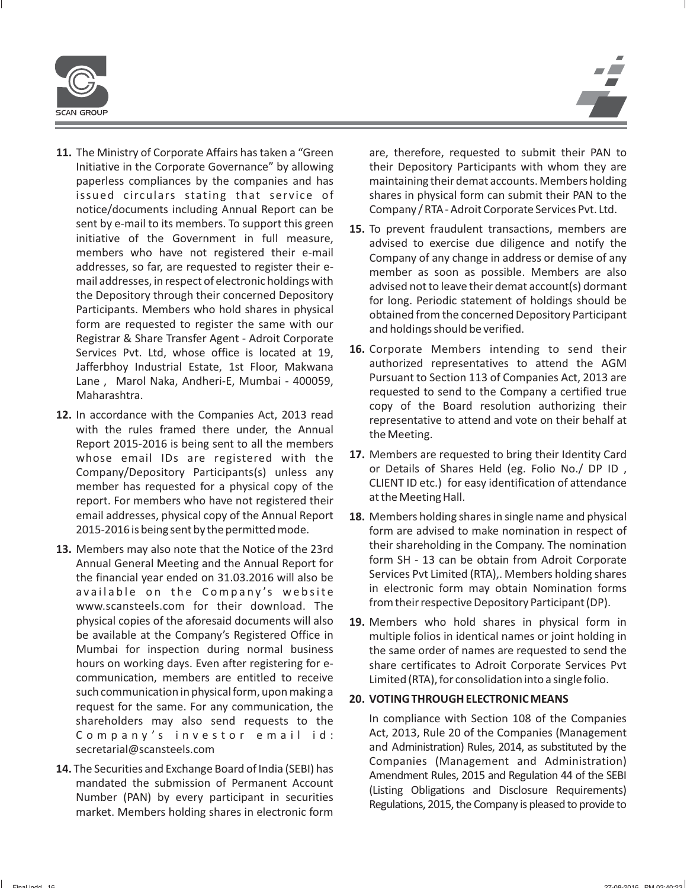

- 
- 
- Jafferbhoy Industrial Estate, 1st Floor, Makwana authorized representatives to attend the AGM<br>Lane Marol Naka Andheri-E Mumbai 400059 Pursuant to Section 113 of Companies Act, 2013 are Maharashtra. The matrix of the Company a certified true<br>copy of the Board resolution authorizing their
- whose email IDs are registered with the **17.** Members are requested to bring their Identity Card<br>Company/Denository Participants(s) unless any or Details of Shares Held (eg. Folio No./ DP ID, member has requested for a physical copy of the CLIENT ID etc.) for easy identification of attendance<br>report. For members who bave not registered their at the Meeting Hall.
- 2015-2016 is being sent by the permitted mode. form are advised to make nomination in respect of **13.** Members may also note that the Notice of the 23rd<br>
Annual General Meeting and the Annual Report for<br>
the financial year ended on 31.03.2016 will also be<br>
available on the Company's website in electronic form may obta
	- be available at the Company's Registered Office in multiple folios in identical names or joint holding in Mumbai for inspection during normal business the same order of names are requested to send the hours on working days. Even after registering for e-<br>share certificates to Adroit Corporate Services Pvt

secretarial@scansteels.com and Administration) Rules, 2014, as substituted by the<br>Companies (Management and Administration)

- **11.** The Ministry of Corporate Affairs has taken a "Green are, therefore, requested to submit their PAN to Initiative in the Corporate Governance" by allowing their Depository Participants with whom they are paperless compliances by the companies and has maintaining their demat accounts. Members holding issued circulars stating that service of shares in physical form can submit their PAN to the notice/documents including Annual Report can be Company/RTA-Adroit Corporate Services Pvt. Ltd. Summary of the Government in full measure,<br>
initiative of the Government in full measure,<br>
members who have not registered their e-mail<br>
addresses, so far, are requested to register their e-<br>
addresses, so far, are request **16.** Corporate Members intending to send their<br>Services Pvt. Ltd, whose office is located at 19, **16.** Corporate Members intending to send their<br>Lafferbboy Industrial Estate, 1st Eloor Makwana authorized representatives t Lane, Marol Naka, Andheri-E, Mumbai - 400059,
- 12. In accordance with the Companies Act, 2013 read<br>with the rules framed there under, the Annual<br>Report 2015-2016 is being sent to all the members<br>Report 2015-2016 is being sent to all the members Company/Depository Participants(s) unless any report. For members who have not registered their email addresses, physical copy of the Annual Report **18.** Members holding shares in single name and physical
- available on the Company's website in electronic form may obtain Nomination for<br>www.scansteels.com for their download. The from their respective Depository Participant (DP). physical copies of the aforesaid documents will also **19.** Members who hold shares in physical form in communication, members are entitled to receive Limited (RTA), for consolidation into a single folio. such communication in physical form, upon making a<br>
request for the same. For any communication, the<br>
shareholders may also send requests to the ln compliance with Section 108 of the Companies shareholders may also send requests to the In compliance with Section 108 of the Companies<br>Company's investor email id: Act, 2013, Rule 20 of the Companies (Management Company's investor email id:
- **14.** The Securities and Exchange Board of India (SEBI) has<br>
mandated the submission of Permanent Account<br>
Number (PAN) by every participant in securities<br>
market. Members holding shares in electronic form<br>
egulations, 201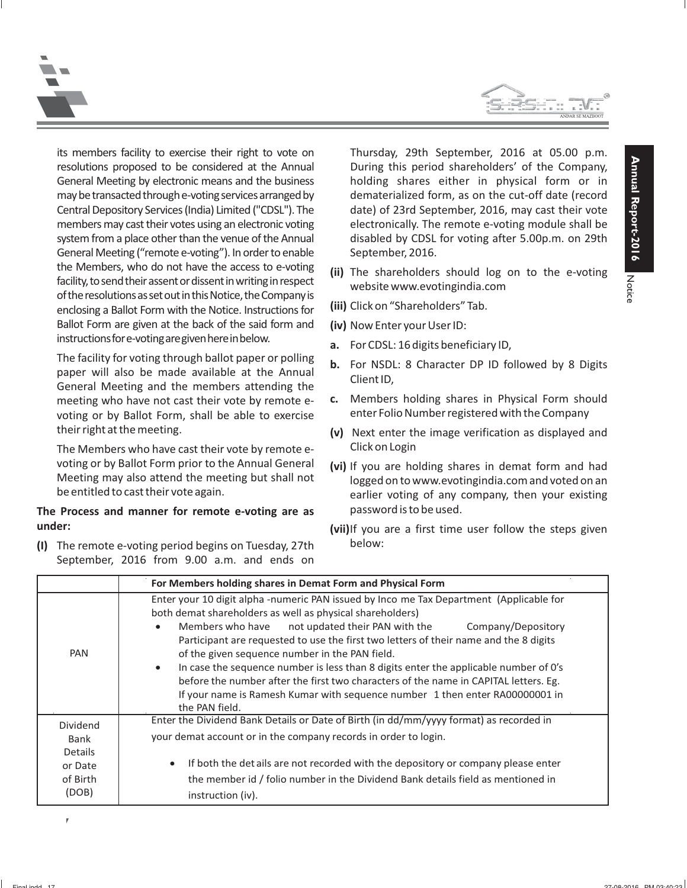



General Meeting ("remote e-voting"). In order to enable September, 2016. the Members, who do not have the access to e-voting<br>facility, to send their assent or dissent in writing in respect<br>of the resolutions as set out in this Notice, the Company is<br>enclosing a Ballot Form with the Notice. Inst Ballot Form are given at the back of the said form and **(iv)** Now Enter your User ID: instructionsfore-votingaregivenhereinbelow. **a.** For CDSL: 16 digits beneficiary ID,

The facility for voting through ballot paper or polling<br>
paper will also be made available at the Annual Client ID,<br>
General Meeting and the members attending the<br>
Client ID, voting or by Ballot Form, shall be able to exercise enter Folio Number registered with the Company their right at the meeting. **(v)** Next enter the image verification as displayed and

The Members who have cast their vote by remote e- Click on Login voting or by Ballot Form prior to the Annual General (vi) If you are holding shares in demat form and had<br>Meeting may also attend the meeting but shall not<br>logged on to www.evotingindia com and voted on an

# **The Process and manner for remote e-voting are as** password is to be used. **under: under: (vii)**If you are a first time user follow the steps given

below: **(I)** The remote e-voting period begins on Tuesday, 27th September, 2016 from 9.00 a.m. and ends on

its members facility to exercise their right to vote on Thursday, 29th September, 2016 at 05.00 p.m. resolutions proposed to be considered at the Annual During this period shareholders' of the Company, General Meeting by electronic means and the business holding shares either in physical form or in maybetransactedthroughe-votingservicesarrangedby dematerialized form, as on the cut-off date (record Central Depository Services (India) Limited ("CDSL"). The date) of 23rd September, 2016, may cast their vote members may cast their votes using an electronic voting electronically. The remote e-voting module shall be system from a place other than the venue of the Annual disabled by CDSL for voting after 5.00p.m. on 29th

- 
- 
- 
- 
- 
- meeting who have not cast their vote by remote e- **c.** Members holding shares in Physical Form should
	-
- Meeting may also attend the meeting but shall not logged on to www.evotingindia.com and voted on an<br>be entitled to cast their vote again. earlier voting of any company, then your existing
	-

|                                                             | For Members holding shares in Demat Form and Physical Form                                                                                                                                                                                                                                                                                                                                                                                                                                                                                                                                                                                                                              |  |  |
|-------------------------------------------------------------|-----------------------------------------------------------------------------------------------------------------------------------------------------------------------------------------------------------------------------------------------------------------------------------------------------------------------------------------------------------------------------------------------------------------------------------------------------------------------------------------------------------------------------------------------------------------------------------------------------------------------------------------------------------------------------------------|--|--|
| <b>PAN</b>                                                  | Enter your 10 digit alpha -numeric PAN issued by Inco me Tax Department (Applicable for<br>both demat shareholders as well as physical shareholders)<br>not updated their PAN with the<br>Members who have<br>Company/Depository<br>$\bullet$<br>Participant are requested to use the first two letters of their name and the 8 digits<br>of the given sequence number in the PAN field.<br>In case the sequence number is less than 8 digits enter the applicable number of O's<br>$\bullet$<br>before the number after the first two characters of the name in CAPITAL letters. Eg.<br>If your name is Ramesh Kumar with sequence number 1 then enter RA00000001 in<br>the PAN field. |  |  |
| Dividend<br>Bank<br>Details<br>or Date<br>of Birth<br>(DOB) | Enter the Dividend Bank Details or Date of Birth (in dd/mm/yyyy format) as recorded in<br>your demat account or in the company records in order to login.<br>If both the details are not recorded with the depository or company please enter<br>$\bullet$<br>the member id / folio number in the Dividend Bank details field as mentioned in<br>instruction (iv).                                                                                                                                                                                                                                                                                                                      |  |  |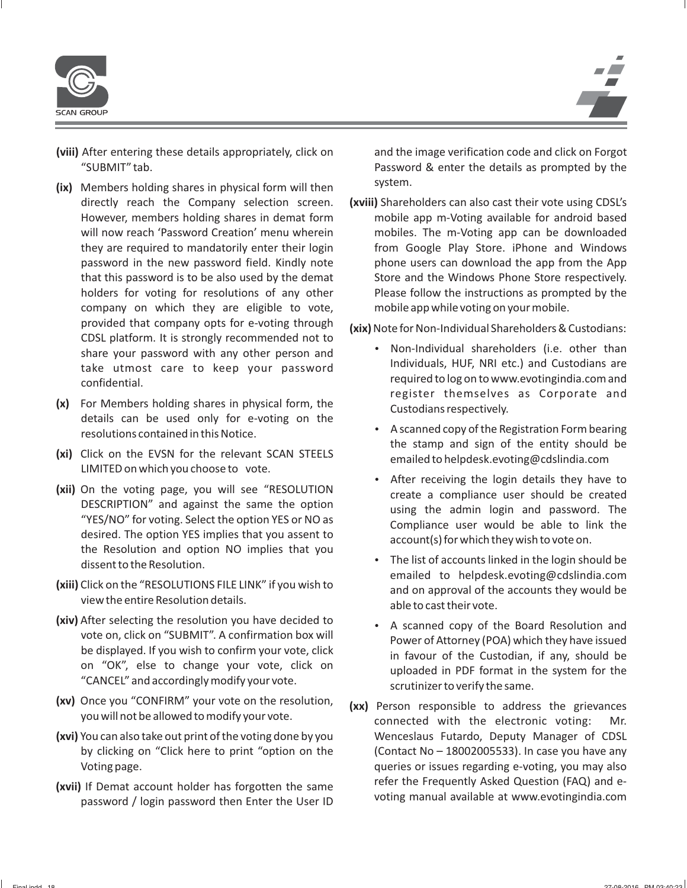

- **(viii)** After entering these details appropriately, click on and the image verification code and click on Forgot "SUBMIT" tab. Password & enter the details as prompted by the
- (ix) Members holding shares in physical form will then system. company on which they are eligible to vote, mobile app while voting on your mobile. provided that company opts for e-voting through **(xix)**Note for Non-Individual Shareholders & Custodians: CDSL platform. It is strongly recommended not to<br>share your recovered with any other region and  $\bullet$  Non-Individual shareholders (i.e. other than
- (x) For Members holding shares in physical form, the Custodians respectively.<br>details can be used only for e-voting on the
- (xi) Click on the EVSN for the relevant SCAN STEELS emailed to helpdesk.evoting@cdslindia.com<br>LIMITED on which you choose to vote.<br>
 After receiving the login details they have to
- (**xii)** On the voting page, you will see "RESOLUTION DESCRIPTION" and against the same the option "YES/NO" for voting. Select the option YES or NO as desired. The option YES implies that you assent to the Resolution and op
- (xiii) Click on the "RESOLUTIONS FILE LINK" if you wish to and on approval of the accounts they would be view the entire Resolution details.
- (xiv) After selecting the resolution you have decided to **.** A scanned copy of the Board Resolution and
- **(xv)** Once you "CONFIRM" your vote on the resolution, **(xx)** Person responsible to address the grievances you will not be allowed to modify your vote. connected with the electronic voting: Mr.
- **(xvi)** You can also take out print of the voting done by you Wenceslaus Futardo, Deputy Manager of CDSL
- 

directly reach the Company selection screen. **(xviii)** Shareholders can also cast their vote using CDSL's However, members holding shares in demat form mobile app m-Voting available for android based will now reach 'Password Creation' menu wherein mobiles. The m-Voting app can be downloaded they are required to mandatorily enter their login from Google Play Store. iPhone and Windows password in the new password field. Kindly note phone users can download the app from the App that this password is to be also used by the demat Store and the Windows Phone Store respectively. holders for voting for resolutions of any other Please follow the instructions as prompted by the

- share your password with any other person and<br>take utmost care to keep your password<br>confidential. example and required to log on to www.evotingindia.com and<br>register themselves as Corporate and
- resolutions contained in this Notice.<br>  $\bullet$  A scanned copy of the Registration Form bearing<br>
the stamp and sign of the entity should be
	-
- dissent to the Resolution.<br>
dissent to the Resolution.<br>
emailed to helpdesk.evoting@cdslindia.com
- A scanned copy of the Board Resolution and<br>vote on, click on "SUBMIT". A confirmation box will<br>be displayed. If you wish to confirm your vote, click<br>on "OK", else to change your vote, click on "CANCEL" and accordingly modi
- by clicking on "Click here to print "option on the (Contact No 18002005533). In case you have any Voting page. queries or issues regarding e-voting, you may also refer the Frequently Asked Question (FAQ) and e- **(xvii)** If Demat account holder has forgotten the same voting manual available at www.evotingindia.com password / login password then Enter the User ID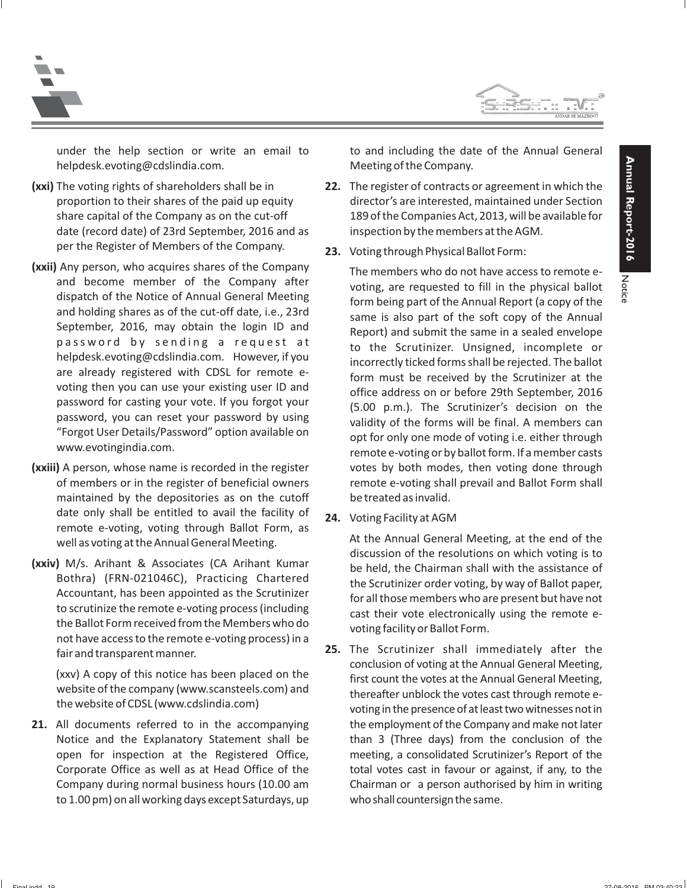



helpdesk.evoting@cdslindia.com. Meeting of the Company.

- **(xxi)** The voting rights of shareholders shall be in **22.** The register of contracts or agreement in which the date (record date) of 23rd September, 2016 and as inspection by the members at the AGM. per the Register of Members of the Company. **23.** Voting through Physical Ballot Form:
- **(xxii)** Any person, who acquires shares of the Company The members who do not have access to remote e-<br>and become member of the Company after voting are requested to fill in the physical ballot
- **(xxiii)** A person, whose name is recorded in the register votes by both modes, then voting done through maintained by the depositories as on the cutoff be treated as invalid.
- 

**21.** All documents referred to in the accompanying the employment of the Company and make not later to 1.00 pm) on all working days except Saturdays, up who shallcountersign the same.

under the help section or write an email to to and including the date of the Annual General

- proportion to their shares of the paid up equity director's are interested, maintained under Section share capital of the Company as on the cut-off 189 of the Companies Act, 2013, will be available for
	-

and become member of the Company after<br>
dispatch of the Notice of Annual General Meeting<br>
and holding shares as of the cut-off date, i.e., 23rd<br>
September, 2016, may obtain the login ID and<br>
September, 2016, may obtain the of members or in the register of beneficial owners remote e-voting shall prevail and Ballot Form shall

date only shall be entitled to avail the facility of<br>
remote e-voting, voting through Ballot Form, as<br>
well as voting at the Annual General Meeting.<br>
(xxiv) M/s. Arihant & Associates (CA Arihant Kumar<br>
Bothra) (FRN-021046C

Fair and transparent manner.<br>
(xxv) A copy of this notice has been placed on the<br>
website of the company (www.scansteels.com) and<br>
the website of CDSL (www.cdslindia.com)<br>
the website of CDSL (www.cdslindia.com)<br>
thereafte Notice and the Explanatory Statement shall be than 3 (Three days) from the conclusion of the open for inspection at the Registered Office, meeting, a consolidated Scrutinizer's Report of the Corporate Office as well as at Head Office of the total votes cast in favour or against, if any, to the Company during normal business hours (10.00 am Chairman or a person authorised by him in writing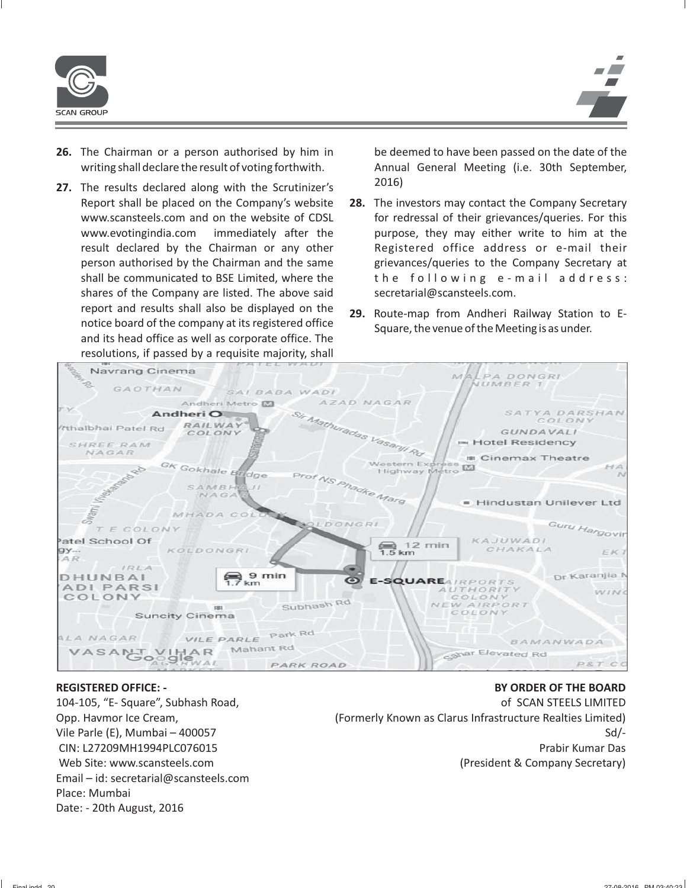

- **26.** The Chairman or a person authorised by him in be deemed to have been passed on the date of the writing shall declare the result of voting forthwith. Annual General Meeting (i.e. 30th September,
- 27. The results declared along with the Scrutinizer's 2016) shares of the Company are listed. The above said secretarial@scansteels.com. report and results shall also be displayed on the **29.** Route-map from Andheri Railway Station to E-<br>notice board of the company at its registered office Square, the venue of the Meeting is as under.<br>and its head office as resolutions, if passed by a requisite majority, shall

- Report shall be placed on the Company's website **28.** The investors may contact the Company Secretary www.scansteels.com and on the website of CDSL for redressal of their grievances/queries. For this www.evotingindia.com immediately after the purpose, they may either write to him at the result declared by the Chairman or any other and Registered office address or e-mail their person authorised by the Chairman and the same grievances/queries to the Company Secretary at shall be communicated to BSE Limited, where the the following  $e$ -mail address:
	-



### **REGISTERED OFFICE: -**

104-105, "E- Square", Subhash Road, Opp. Havmor Ice Cream, Vile Parle (E), Mumbai – 400057 CIN: L27209MH1994PLC076015 Web Site: www.scansteels.com Email – id: secretarial@scansteels.com Place: Mumbai Date: - 20th August, 2016

of SCAN STEELS LIMITED (Formerly Known as Clarus Infrastructure Realties Limited) Sd/- Prabir Kumar Das (President & Company Secretary)

**BY ORDER OF THE BOARD**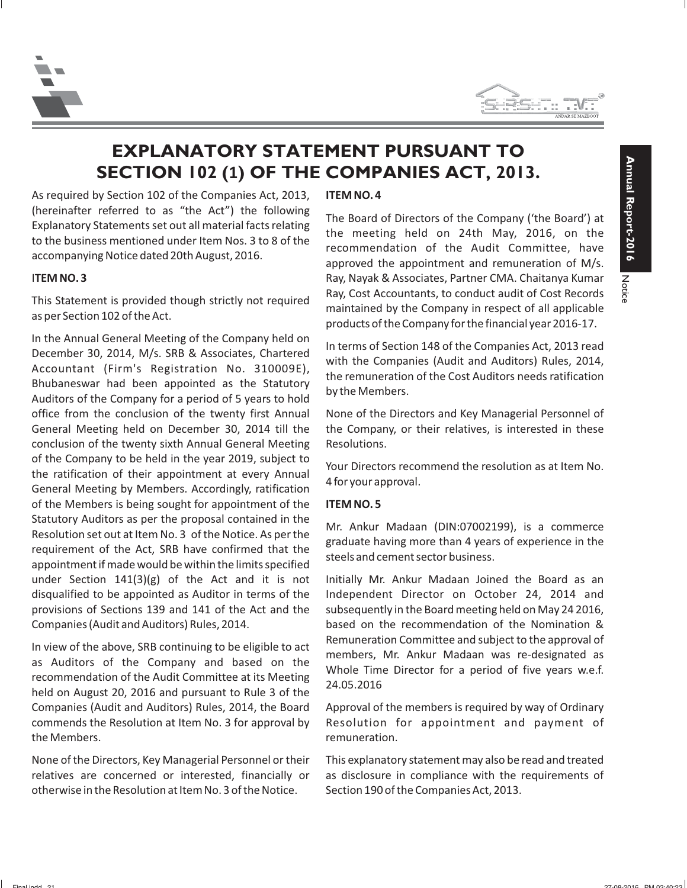



# **EXPLANATORY STATEMENT PURSUANT TO SECTION 102 (1) OF THE COMPANIES ACT, 2013.**

As required by Section 102 of the Companies Act, 2013, **ITEM NO. 4** (hereinafter referred to as "the Act") the following<br>Explanatory Statements set out all material facts relating<br>to the business mentioned under Item Nos. 3 to 8 of the<br>accompanying Notice dated 20th August, 2016.<br>approved

In the Annual General Meeting of the Company held on<br>
December 30, 2014, M/s. SRB & Associates, Chartered<br>
Accountant (Firm's Registration No. 310009E),<br>
Bhubaneswar had been appointed as the Statutory<br>
Auditors of the Com office from the conclusion of the twenty first Annual None of the Directors and Key Managerial Personnel of General Meeting held on December 30, 2014 till the the Company, or their relatives, is interested in these conclusion of the twenty sixth Annual General Meeting Resolutions. of the Company to be held in the year 2019, subject to<br>the ratification of their appointment at every Annual<br>General Meeting by Members. Accordingly, ratification<br>4 for your approval. of the Members is being sought for appointment of the **ITEM NO. 5** Statutory Auditors as per the proposal contained in the<br>Resolution set out at Item No. 3 of the Notice. As per the<br>requirement of the Act, SRB have confirmed that the<br>appointment if made would be within the limits specifie under Section  $141(3)(g)$  of the Act and it is not Initially Mr. Ankur Madaan Joined the Board as an disqualified to be appointed as Auditor in terms of the Independent Director on October 24, 2014 and provisions of Sections 139 and 141 of the Act and the subsequently in the Board meeting held on May 24 2016, Companies (Audit and Auditors) Rules, 2014. based on the recommendation of the Nomination &

In view of the above, SRB continuing to be eligible to act<br>as Auditors of the Company and based on the<br>recommendation of the Audit Committee at its Meeting<br>held on August 20, 2016 and pursuant to Rule 3 of the<br>held on Augu Companies (Audit and Auditors) Rules, 2014, the Board Approval of the members is required by way of Ordinary commends the Resolution at Item No. 3 for approval by Resolution for appointment and payment of the Members. The Members of the Members of the Members of the Members of the Members of the Members of the Members of the Members of the Members of the Members of the Members of the Members of the Members of the Members of

None of the Directors, Key Managerial Personnel or their This explanatory statement may also be read and treated relatives are concerned or interested, financially or as disclosure in compliance with the requirements of otherwise in the Resolution at Item No. 3 of the Notice. Section 190 of the Companies Act, 2013.

**ITEM NO. 3 Ray, Nayak & Associates, Partner CMA. Chaitanya Kumar** Ray, Nayak & Associates, Partner CMA. Chaitanya Kumar This Statement is provided though strictly not required<br>as per Section 102 of the Act.<br>products of the Company in respect of all applicable<br>products of the Company for the financial year 2016-17.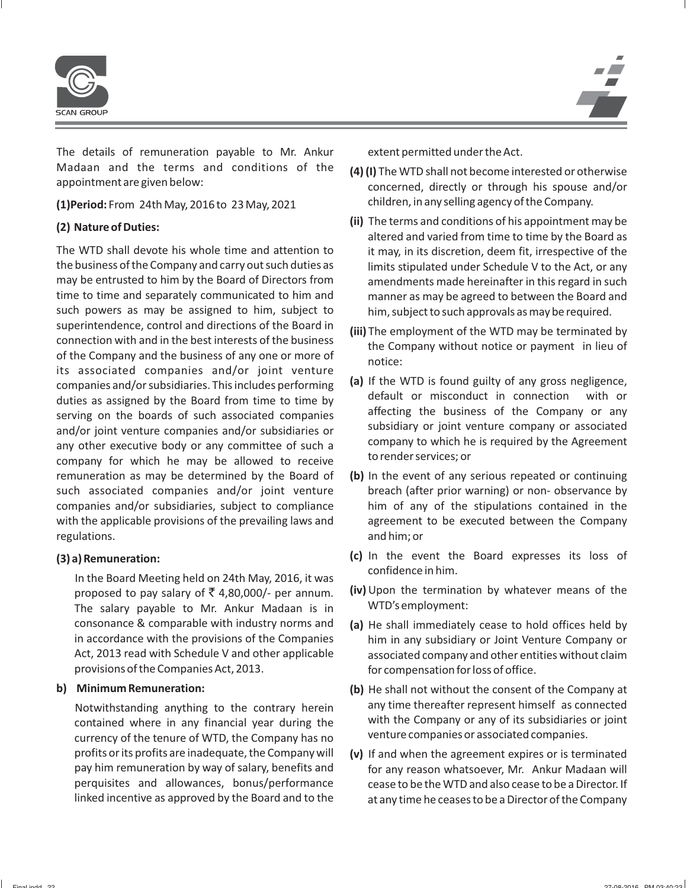

The details of remuneration payable to Mr. Ankur extent permitted under the Act. Madaan and the terms and conditions of the **(4) (I)** The WTD shall not become interested or otherwise appointment are given below:

The WTD shall devote his whole time and attention to it may, in its discretion, deem fit, irrespective of the the business of the Company and carry out such duties as limits stipulated under Schedule V to the Act, or any may be entrusted to him by the Board of Directors from amendments made hereinafter in this regard in such time to time and separately communicated to him and manner as may be agreed to between the Board and such powers as may be assigned to him, subject to him, subject to such approvals as may be required. superintendence, control and directions of the Board in<br>
connection with and in the best interests of the business<br>
of the Company without notice or payment in lieu of<br>
its associated companies and/or joint venture<br>
of the its associated companies and/or joint venture<br>
companies and/or subsidiaries. This includes performing<br>
dal If the WTD is found guilty of any gross negligence,<br>
duties as assigned by the Board from time to time by<br>
serving remuneration as may be determined by the Board of **(b)** In the event of any serious repeated or continuing such associated companies and/or joint venture breach (after prior warning) or non- observance by companies and/or subsidiaries, subject to compliance him of any of the stipulations contained in the with the applicable provisions of the prevailing laws and agreement to be executed between the Company regulations. The contract of the contract of the contract of the contract of the contract of the contract of the contract of the contract of the contract of the contract of the contract of the contract of the contract of t

In the Board Meeting held on 24th May, 2016, it was The salary payable to Mr. Ankur Madaan is in provisions of the Companies Act, 2013. The state of the Compensation for loss of office.

venture companies or associated companies. currency of the tenure of WTD, the Company has no profits or its profits are inadequate, the Company will **(v)** If and when the agreement expires or is terminated

- concerned, directly or through his spouse and/or children, in any selling agency of the Company. **(1)Period:** From 24th May, 2016 to 23 May, 2021
- **(ii)** The terms and conditions of his appointment may be **(2) Nature of Duties:** altered and varied from time to time by the Board as
	-
	-
	-
- **(c)** In the event the Board expresses its loss of **(3) a) Remuneration:**
	- proposed to pay salary of  $\overline{\xi}$  4,80,000/- per annum. **(iv)** Upon the termination by whatever means of the The salary payable to Mr. Ankur Madaan is in WTD's employment:
	- consonance & comparable with industry norms and **(a)** He shall immediately cease to hold offices held by in accordance with the provisions of the Companies him in any subsidiary or Joint Venture Company or Act, 2013 read with Schedule V and other applicable associated company and other entities without claim
- **b) Minimum Remuneration: (b)** He shall not without the consent of the Company at Notwithstanding anything to the contrary herein any time thereafter represent himself as connected contained where in any financial year during the with the Company or any of its subsidiaries or joint
	- pay him remuneration by way of salary, benefits and for any reason whatsoever, Mr. Ankur Madaan will perquisites and allowances, bonus/performance cease to be the WTD and also cease to be a Director. If linked incentive as approved by the Board and to the at any time he ceases to be a Director of the Company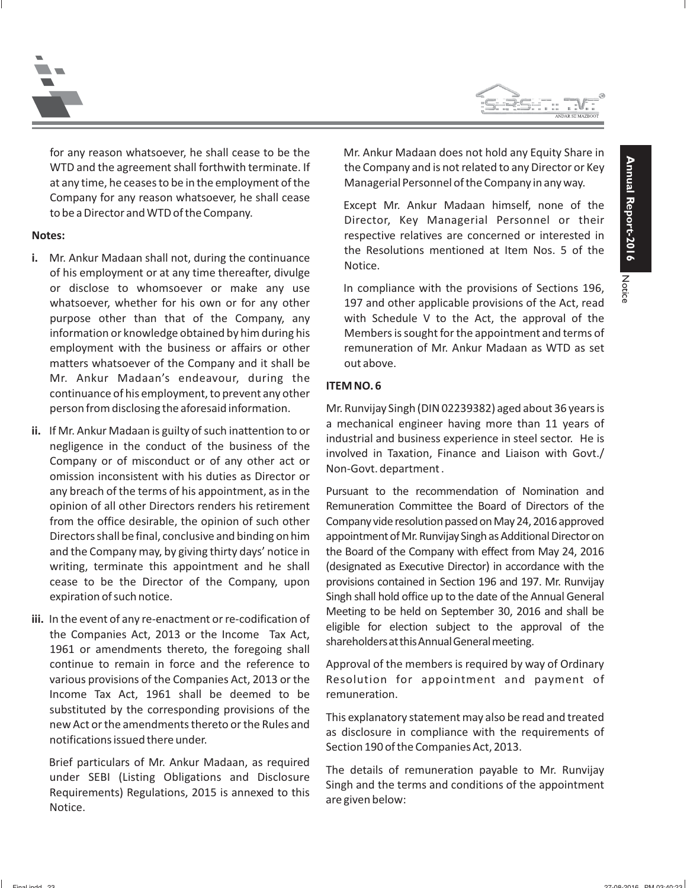



for any reason whatsoever, he shall cease to be the Mr. Ankur Madaan does not hold any Equity Share in WTD and the agreement shall forthwith terminate. If the Company and is not related to any Director or Key at any time, he ceases to be in the employment of the Managerial Personnel of the Company in any way. Company for any reason whatsoever, he shall cease<br>
Except Mr. Ankur Madaan himself, none of the to be a Director and WTD of the Company.

- or disclose to whomsoever or make any use In compliance with the provisions of Sections 196, matters whatsoever of the Company and it shall be out above. Mr. Ankur Madaan's endeavour, during the **ITEM NO.6** continuance of his employment, to prevent any other
- ii. If Mr. Ankur Madaan is guilty of such inattention to or<br>negligence in the conduct of the business of the<br>Company or of misconduct or of any other act or<br>omission inconsistent with his duties as Director or<br>negligence a
- Income Tax Act, 1961 shall be deemed to be remuneration. substituted by the corresponding provisions of the<br>new Act or the amendments thereto or the Rules and<br>notifications issued there under.<br>Section 190 of the Companies Act, 2013.

Brief particulars of Mr. Ankur Madaan, as required<br>
under SEBI (Listing Obligations and Disclosure Singh and the terms and conditions of the appointment<br>
Requirements) Regulations, 2015 is annexed to this are given below:<br>

**Notes: respective relatives are concerned or interested in** i. Mr. Ankur Madaan shall not, during the continuance the Resolutions mentioned at Item Nos. 5 of the of his employment or at any time thereafter, divulge

whatsoever, whether for his own or for any other 197 and other applicable provisions of the Act, read purpose other than that of the Company, any with Schedule V to the Act, the approval of the information or knowledge obtained by him during his Members is sought for the appointment and terms of employment with the business or affairs or other remuneration of Mr. Ankur Madaan as WTD as set

person from disclosing the aforesaid information. Mr. Runvijay Singh (DIN 02239382) aged about 36 years is

any breach of the terms of his appointment, as in the Pursuant to the recommendation of Nomination and opinion of all other Directors renders his retirement Remuneration Committee the Board of Directors of the from the office desirable, the opinion of such other Company vide resolution passed on May 24, 2016 approved Directors shall be final, conclusive and binding on him appointment of Mr. Runvijay Singh as Additional Director on and the Company may, by giving thirty days' notice in the Board of the Company with effect from May 24, 2016 writing, terminate this appointment and he shall (designated as Executive Director) in accordance with the cease to be the Director of the Company, upon provisions contained in Section 196 and 197. Mr. Runvijay expiration of such notice.  $\Box$  Singh shall hold office up to the date of the Annual General iii. In the event of any re-enactment or re-codification of<br>the Companies Act, 2013 or the Income Tax Act,<br>1961 or amendments thereto, the foregoing shall<br>1961 or amendments thereto, the foregoing shall

continue to remain in force and the reference to Approval of the members is required by way of Ordinary various provisions of the Companies Act, 2013 or the Resolution for appointment and payment of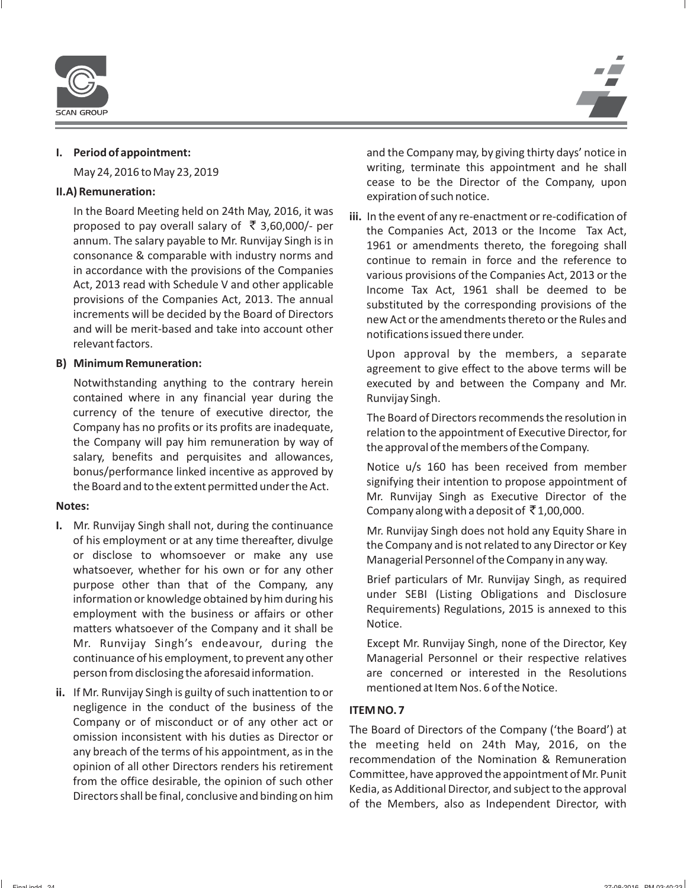

In the Board Meeting held on 24th May, 2016, it was<br>proposed to pay overall salary of  $\overline{x}$  3,60,000/- per<br>annum. The salary payable to Mr. Runvijay Singh is in<br>consonance & comparable with industry norms and<br>in accorda relevant factors.

Notwithstanding anything to the contrary herein executed by and between the Company and Mr. contained where in any financial year during the Runvijay Singh. currency of the tenure of executive director, the The Board of Directors recommends the resolution in<br>Company has no profits or its profits are inadequate, exploring to the appointment of Executive Director for Company has no profits or its profits are inadequate,<br>
the Company will pay him remuneration by way of<br>
salary, benefits and perquisites and allowances,<br>
bonus/performance linked incentive as approved by<br>
the Board and to

- **I.** Mr. Runvijay Singh shall not, during the continuance<br>of his employment or at any time thereafter, divulge<br>or disclose to whomsoever or make any use<br>whatsoever, whether for his own or for any other<br>purpose other than t employment with the business or affairs or other Require<br>matters whatsoever of the Company and it shall be Notice. Mr. Runvijay Singh's endeavour, during the Except Mr. Runvijay Singh, none of the Director, Key continuance of his employment, to prevent any other Managerial Personnel or their respective relatives person from disclosing the aforesaid information. are concerned or interested in the Resolutions
- mentioned at Item Nos. 6 of the Notice. **ii.** If Mr. Runvijay Singh is guilty of such inattention to or negligence in the conduct of the business of the **ITEM NO.7**<br>Company or of misconduct or of any other act or

**I. Period of appointment:** and the Company may, by giving thirty days' notice in May 24, 2016 to May 23, 2019 writing, terminate this appointment and he shall cease to be the Director of the Company, upon **II.A) Remuneration:** expiration of such notice.

in accordance with the provisions of the Companies<br>
Act, 2013 read with Schedule V and other applicable<br>
provisions of the Companies Act, 2013 or the<br>
provisions of the Companies Act, 2013. The annual<br>
increments will be d Increments will be decided by the Board of Directors<br>and will be merit-based and take into account other notifications issued there under.

Upon approval by the members, a separate **B)** Minimum Remuneration:<br>agreement to give effect to the above terms will be

Company or of misconduct or of any other act or<br>
omission inconsistent with his duties as Director or<br>
any breach of the terms of his appointment, as in the<br>
opinion of all other Directors renders his retirement<br>
from the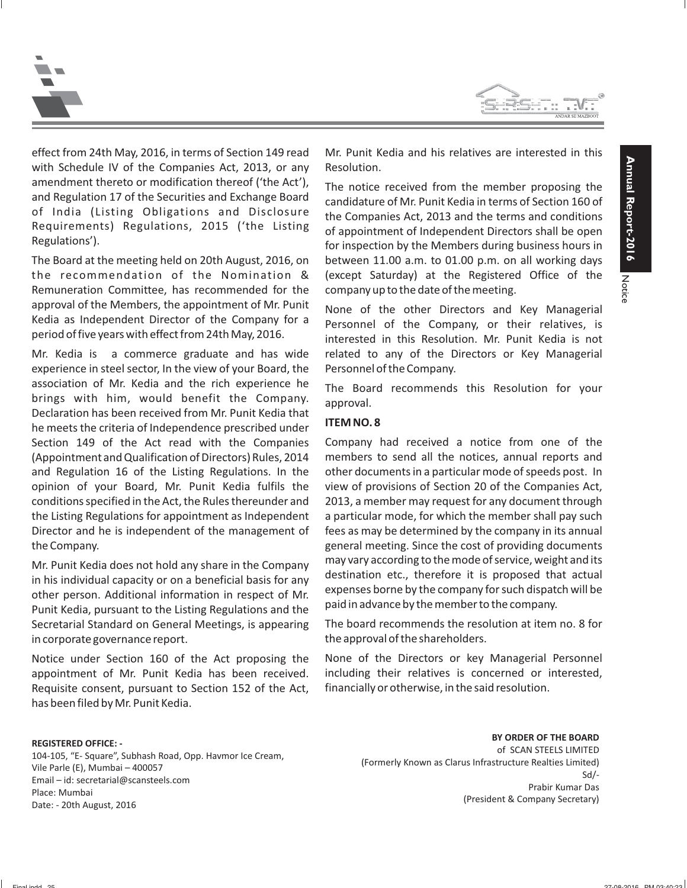



effect from 24th May, 2016, in terms of Section 149 read Mr. Punit Kedia and his relatives are interested in this with Schedule IV of the Companies Act, 2013, or any Resolution. amendment thereto or modification thereof ('the Act'),<br>and Regulation 17 of the Securities and Exchange Board<br>of India (Listing Obligations and Disclosure the Companies Act 2012 and the terms or depositions

The Board at the meeting held on 20th August, 2016, on between 11.00 a.m. to 01.00 p.m. on all working days the recommendation of the Nomination & (except Saturday) at the Registered Office of the Remuneration Committee, has recommended for the company up to the date of the meeting. approval of the Members, the appointment of Mr. Punit<br>Kedia as Independent Director of the Company for a<br>period of five years with effect from 24th May, 2016.<br>interested in this Resolution. Mr. Punit Kedia is not

Mr. Kedia is a commerce graduate and has wide related to any of the Directors or Key Managerial experience in steel sector, In the view of your Board, the Personnel of the Company. association of Mr. Kedia and the rich experience he The Board recommends this Resolution for your brings with him, would benefit the Company. approval. Declaration has been received from Mr. Punit Kedia that has punited an he meets the criteria of Independence prescribed under Section 149 of the Act read with the Companies Company had received a notice from one of the (Appointment and Qualification of Directors) Rules, 2014 members to send all the notices, annual reports and and Regulation 16 of the Listing Regulations. In the other documents in a particular mode of speeds post. In opinion of your Board, Mr. Punit Kedia fulfils the view of provisions of Section 20 of the Companies Act, conditions specified in the Act, the Rules thereunder and 2013, a member may request for any document through the Listing Regulations for appointment as Independent a particular mode, for which the member shall pay such Director and he is independent of the management of fees as may be determined by the company in its annual the Company. general meeting. Since the cost of providing documents

in his individual capacity or on a beneficial basis for any<br>other person. Additional information in respect of Mr. expenses borne by the company for such dispatch will be<br>Punit Kedia, pursuant to the Listing Regulations an Secretarial Standard on General Meetings, is appearing The board recommends the resolution at item no. 8 for in corporate governance report.  $\qquad \qquad \qquad$  the approval of the shareholders.

Notice under Section 160 of the Act proposing the None of the Directors or key Managerial Personnel appointment of Mr. Punit Kedia has been received. including their relatives is concerned or interested, Requisite consent, pursuant to Section 152 of the Act, financially or otherwise, in the said resolution. has been filed by Mr. Punit Kedia.

**REGISTERED OFFICE: -**

104-105, "E- Square", Subhash Road, Opp. Havmor Ice Cream, Vile Parle (E), Mumbai – 400057 Email – id: secretarial@scansteels.com Place: Mumbai Date: - 20th August, 2016

or India (Listing Obligations and Disclosure the Companies Act, 2013 and the terms and conditions<br>Requirements) Regulations, 2015 ('the Listing of appointment of Independent Directors shall be open<br>for inspection by the Me

Mr. Punit Kedia does not hold any share in the Company may vary according to the mode of service, weight and its<br>in his individual canacity or on a bonoficial basis for any destination etc., therefore it is proposed that a

**BY ORDER OF THE BOARD** of SCAN STEELS LIMITED (Formerly Known as Clarus Infrastructure Realties Limited) Sd/- Prabir Kumar Das (President & Company Secretary)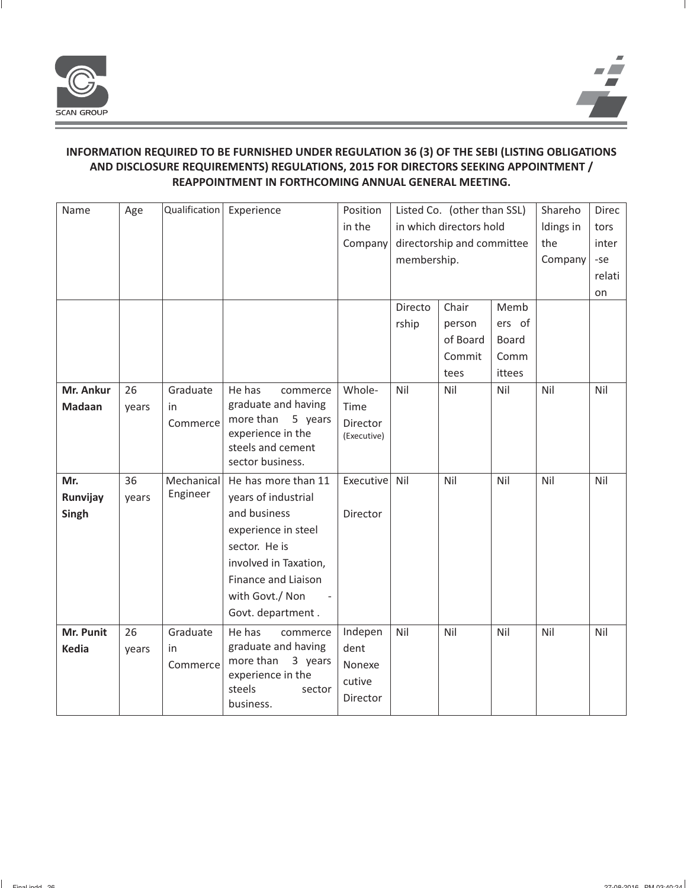

# **INFORMATION REQUIRED TO BE FURNISHED UNDER REGULATION 36 (3) OF THE SEBI (LISTING OBLIGATIONS AND DISCLOSURE REQUIREMENTS) REGULATIONS, 2015 FOR DIRECTORS SEEKING APPOINTMENT / REAPPOINTMENT IN FORTHCOMING ANNUAL GENERAL MEETING.**

| Name          | Age   | Qualification | Experience                                | Position        | Listed Co. (other than SSL) |                         | Shareho | Direc     |        |
|---------------|-------|---------------|-------------------------------------------|-----------------|-----------------------------|-------------------------|---------|-----------|--------|
|               |       |               |                                           | in the          |                             | in which directors hold |         | Idings in | tors   |
|               |       |               |                                           | Company         | directorship and committee  |                         | the     | inter     |        |
|               |       |               |                                           |                 | membership.                 |                         |         | Company   | -se    |
|               |       |               |                                           |                 |                             |                         |         |           | relati |
|               |       |               |                                           |                 |                             |                         |         |           | on     |
|               |       |               |                                           |                 | Directo                     | Chair                   | Memb    |           |        |
|               |       |               |                                           |                 | rship                       | person                  | ers of  |           |        |
|               |       |               |                                           |                 |                             | of Board                | Board   |           |        |
|               |       |               |                                           |                 |                             | Commit                  | Comm    |           |        |
|               |       |               |                                           |                 |                             | tees                    | ittees  |           |        |
| Mr. Ankur     | 26    | Graduate      | He has<br>commerce                        | Whole-          | Nil                         | Nil                     | Nil     | Nil       | Nil    |
| <b>Madaan</b> | years | in            | graduate and having                       | Time            |                             |                         |         |           |        |
|               |       | Commerce      | more than<br>5 years<br>experience in the | <b>Director</b> |                             |                         |         |           |        |
|               |       |               | steels and cement                         | (Executive)     |                             |                         |         |           |        |
|               |       |               | sector business.                          |                 |                             |                         |         |           |        |
| Mr.           | 36    | Mechanical    | He has more than 11                       | Executive       | Nil                         | Nil                     | Nil     | Nil       | Nil    |
| Runvijay      | years | Engineer      | years of industrial                       |                 |                             |                         |         |           |        |
| Singh         |       |               | and business                              | Director        |                             |                         |         |           |        |
|               |       |               | experience in steel                       |                 |                             |                         |         |           |        |
|               |       |               | sector. He is                             |                 |                             |                         |         |           |        |
|               |       |               | involved in Taxation,                     |                 |                             |                         |         |           |        |
|               |       |               | <b>Finance and Liaison</b>                |                 |                             |                         |         |           |        |
|               |       |               | with Govt./ Non                           |                 |                             |                         |         |           |        |
|               |       |               | Govt. department.                         |                 |                             |                         |         |           |        |
| Mr. Punit     | 26    | Graduate      | He has<br>commerce                        | Indepen         | Nil                         | Nil                     | Nil     | Nil       | Nil    |
| <b>Kedia</b>  | years | in.           | graduate and having                       | dent            |                             |                         |         |           |        |
|               |       | Commerce      | more than<br>3 years                      | Nonexe          |                             |                         |         |           |        |
|               |       |               | experience in the<br>steels<br>sector     | cutive          |                             |                         |         |           |        |
|               |       |               | business.                                 | <b>Director</b> |                             |                         |         |           |        |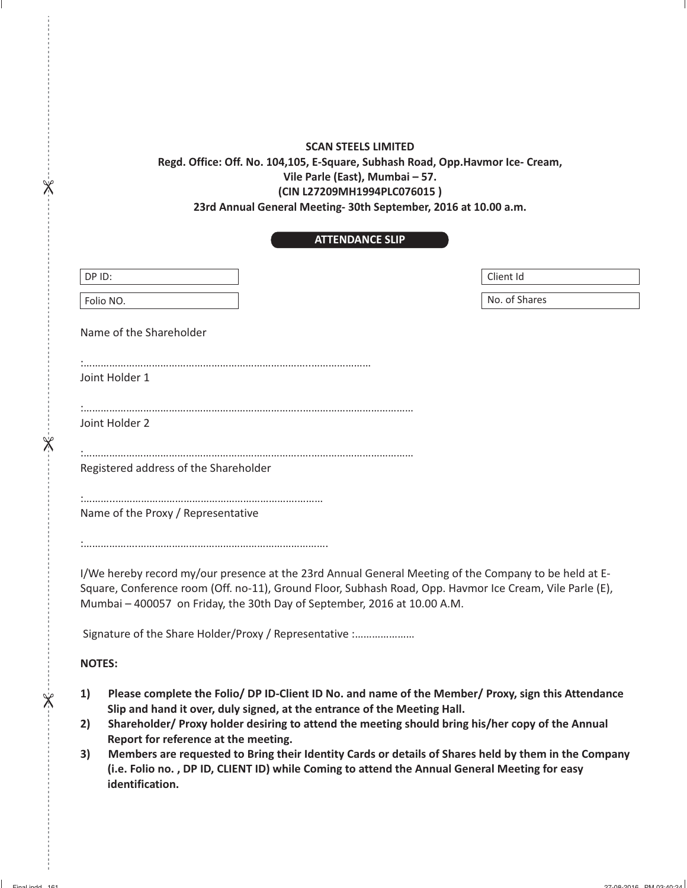### **SCAN STEELS LIMITED**

# **Regd. Office: Off. No. 104,105, E-Square, Subhash Road, Opp.Havmor Ice- Cream, Vile Parle (East), Mumbai – 57. (CIN L27209MH1994PLC076015 ) 23rd Annual General Meeting- 30th September, 2016 at 10.00 a.m.**

 $\chi$ 

 $\frac{1}{2}$ 

 $\overline{\mathbb{X}}$ 

## **ATTENDANCE SLIP**

| DP ID:                                                                                                   | Client Id     |  |  |  |
|----------------------------------------------------------------------------------------------------------|---------------|--|--|--|
|                                                                                                          |               |  |  |  |
| Folio NO.                                                                                                | No. of Shares |  |  |  |
|                                                                                                          |               |  |  |  |
| Name of the Shareholder                                                                                  |               |  |  |  |
|                                                                                                          |               |  |  |  |
|                                                                                                          |               |  |  |  |
| Joint Holder 1                                                                                           |               |  |  |  |
|                                                                                                          |               |  |  |  |
|                                                                                                          |               |  |  |  |
|                                                                                                          |               |  |  |  |
| Joint Holder 2                                                                                           |               |  |  |  |
|                                                                                                          |               |  |  |  |
|                                                                                                          |               |  |  |  |
| Registered address of the Shareholder                                                                    |               |  |  |  |
|                                                                                                          |               |  |  |  |
|                                                                                                          |               |  |  |  |
|                                                                                                          |               |  |  |  |
| Name of the Proxy / Representative                                                                       |               |  |  |  |
|                                                                                                          |               |  |  |  |
|                                                                                                          |               |  |  |  |
|                                                                                                          |               |  |  |  |
| I/We hereby record my/our presence at the 23rd Annual General Meeting of the Company to be held at E-    |               |  |  |  |
| Square, Conference room (Off. no-11), Ground Floor, Subhash Road, Opp. Havmor Ice Cream, Vile Parle (E), |               |  |  |  |
| Mumbai - 400057 on Friday, the 30th Day of September, 2016 at 10.00 A.M.                                 |               |  |  |  |
|                                                                                                          |               |  |  |  |
| Signature of the Share Holder/Proxy / Representative :                                                   |               |  |  |  |
|                                                                                                          |               |  |  |  |
|                                                                                                          |               |  |  |  |
| <b>NOTES:</b>                                                                                            |               |  |  |  |
|                                                                                                          |               |  |  |  |

- **1) Please complete the Folio/ DP ID-Client ID No. and name of the Member/ Proxy, sign this Attendance Slip and hand it over, duly signed, at the entrance of the Meeting Hall.**
- **2) Shareholder/ Proxy holder desiring to attend the meeting should bring his/her copy of the Annual Report for reference at the meeting.**
- **3) Members are requested to Bring their Identity Cards or details of Shares held by them in the Company (i.e. Folio no. , DP ID, CLIENT ID) while Coming to attend the Annual General Meeting for easy identification.**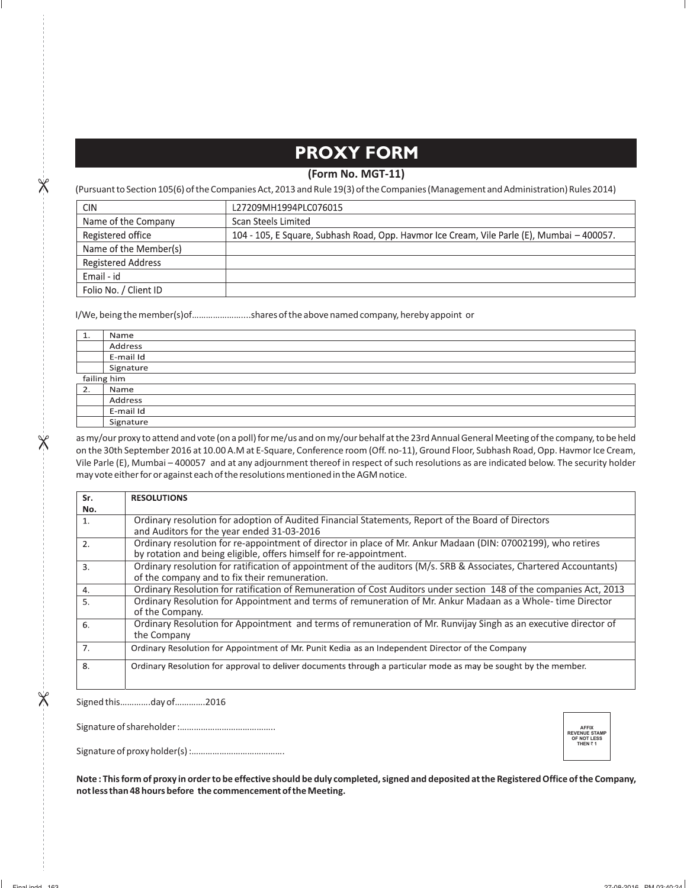# **PROXY FORM**

### **(Form No. MGT-11)**

(Pursuant to Section 105(6) of the Companies Act, 2013 and Rule 19(3) of the Companies (Management and Administration) Rules 2014)

| <b>CIN</b>                | L27209MH1994PLC076015                                                                      |
|---------------------------|--------------------------------------------------------------------------------------------|
| Name of the Company       | Scan Steels Limited                                                                        |
| Registered office         | 104 - 105, E Square, Subhash Road, Opp. Havmor Ice Cream, Vile Parle (E), Mumbai - 400057. |
| Name of the Member(s)     |                                                                                            |
| <b>Registered Address</b> |                                                                                            |
| Email - id                |                                                                                            |
| Folio No. / Client ID     |                                                                                            |

I/We, being the member(s)of…………………....shares of the above named company, hereby appoint or

| 1.          | Name      |
|-------------|-----------|
|             | Address   |
|             | E-mail Id |
|             | Signature |
| failing him |           |
| 2.          | Name      |
|             | Address   |
|             | E-mail Id |
|             | Signature |

as my/our proxy to attend and vote (on a poll) for me/us and on my/our behalf at the 23rd Annual General Meeting of the company, to be held on the 30th September 2016 at 10.00 A.M at E-Square, Conference room (Off. no-11), Ground Floor, Subhash Road, Opp. Havmor Ice Cream, Vile Parle (E), Mumbai – 400057 and at any adjournment thereof in respect of such resolutions as are indicated below. The security holder may vote either for or against each of the resolutions mentioned in the AGM notice.

| Sr.              | <b>RESOLUTIONS</b>                                                                                                                                                                 |
|------------------|------------------------------------------------------------------------------------------------------------------------------------------------------------------------------------|
| No.              |                                                                                                                                                                                    |
| 1.               | Ordinary resolution for adoption of Audited Financial Statements, Report of the Board of Directors<br>and Auditors for the year ended 31-03-2016                                   |
| 2.               | Ordinary resolution for re-appointment of director in place of Mr. Ankur Madaan (DIN: 07002199), who retires<br>by rotation and being eligible, offers himself for re-appointment. |
| $\overline{3}$ . | Ordinary resolution for ratification of appointment of the auditors (M/s. SRB & Associates, Chartered Accountants)<br>of the company and to fix their remuneration.                |
| $\overline{4}$ . | Ordinary Resolution for ratification of Remuneration of Cost Auditors under section 148 of the companies Act, 2013                                                                 |
| 5.               | Ordinary Resolution for Appointment and terms of remuneration of Mr. Ankur Madaan as a Whole-time Director<br>of the Company.                                                      |
| 6.               | Ordinary Resolution for Appointment and terms of remuneration of Mr. Runvijay Singh as an executive director of<br>the Company                                                     |
| 7.               | Ordinary Resolution for Appointment of Mr. Punit Kedia as an Independent Director of the Company                                                                                   |
| 8.               | Ordinary Resolution for approval to deliver documents through a particular mode as may be sought by the member.                                                                    |

Signed this………….day of………….2016

 $\overline{\mathsf{X}}$ 

 $\times$ 

Signature of shareholder :…………………………………..

Signature of proxy holder(s) :………………………………….

**Note : This form of proxy in order to be effective should be duly completed, signed and deposited at the Registered Office of the Company, not less than 48 hours before the commencement of the Meeting.**

**AFFIX<br>REVENUE STAMP<br>OF NOT LESS<br>THEN ? 1**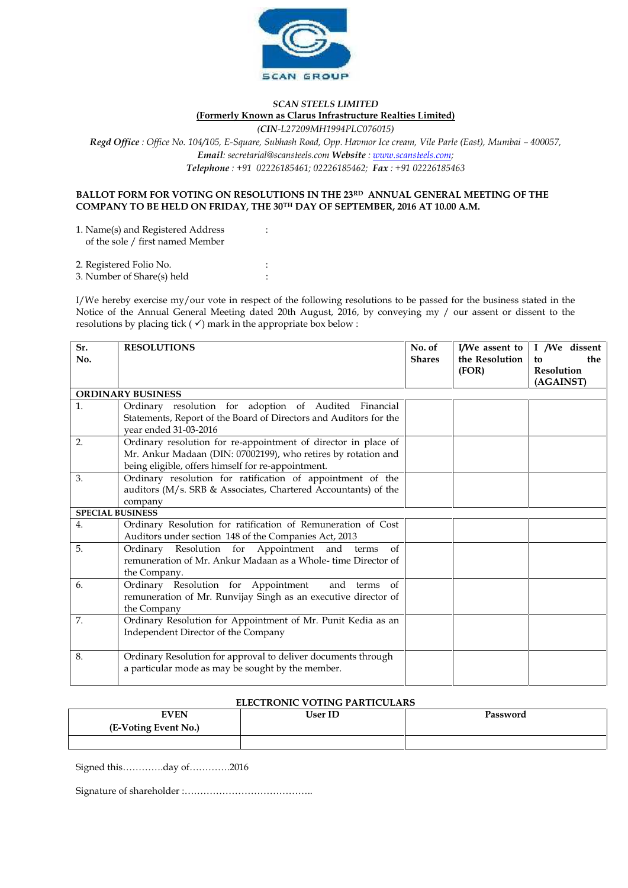

## *SCAN STEELS LIMITED* **(Formerly Known as Clarus Infrastructure Realties Limited)**

*(CIN-L27209MH1994PLC076015)*

*Regd Office : Office No. 104/105, E-Square, Subhash Road, Opp. Havmor Ice cream, Vile Parle (East), Mumbai – 400057, Email: secretarial@scansteels.com Website : www.scansteels.com; Telephone : +91 02226185461; 02226185462; Fax : +91 02226185463*

### **BALLOT FORM FOR VOTING ON RESOLUTIONS IN THE 23RD ANNUAL GENERAL MEETING OF THE COMPANY TO BE HELD ON FRIDAY, THE 30TH DAY OF SEPTEMBER, 2016 AT 10.00 A.M.**

1. Name(s) and Registered Address : of the sole / first named Member

2. Registered Folio No. :

3. Number of Share(s) held :

I/We hereby exercise my/our vote in respect of the following resolutions to be passed for the business stated in the Notice of the Annual General Meeting dated 20th August, 2016, by conveying my / our assent or dissent to the resolutions by placing tick ( $\checkmark$ ) mark in the appropriate box below :

| Sr.<br>No.              | <b>RESOLUTIONS</b>                                                                                                                                                                    | No. of<br><b>Shares</b> | I/We assent to<br>the Resolution<br>(FOR) | I /We dissent<br>the<br>to<br>Resolution |
|-------------------------|---------------------------------------------------------------------------------------------------------------------------------------------------------------------------------------|-------------------------|-------------------------------------------|------------------------------------------|
|                         |                                                                                                                                                                                       |                         |                                           | (AGAINST)                                |
|                         | <b>ORDINARY BUSINESS</b>                                                                                                                                                              |                         |                                           |                                          |
| 1.                      | Ordinary resolution for adoption of Audited Financial<br>Statements, Report of the Board of Directors and Auditors for the<br>year ended 31-03-2016                                   |                         |                                           |                                          |
| 2.                      | Ordinary resolution for re-appointment of director in place of<br>Mr. Ankur Madaan (DIN: 07002199), who retires by rotation and<br>being eligible, offers himself for re-appointment. |                         |                                           |                                          |
| 3.                      | Ordinary resolution for ratification of appointment of the<br>auditors (M/s. SRB & Associates, Chartered Accountants) of the<br>company                                               |                         |                                           |                                          |
| <b>SPECIAL BUSINESS</b> |                                                                                                                                                                                       |                         |                                           |                                          |
| 4.                      | Ordinary Resolution for ratification of Remuneration of Cost<br>Auditors under section 148 of the Companies Act, 2013                                                                 |                         |                                           |                                          |
| 5.                      | Ordinary Resolution for Appointment and terms<br>of<br>remuneration of Mr. Ankur Madaan as a Whole-time Director of<br>the Company.                                                   |                         |                                           |                                          |
| 6.                      | Ordinary Resolution for Appointment<br>and terms of<br>remuneration of Mr. Runvijay Singh as an executive director of<br>the Company                                                  |                         |                                           |                                          |
| 7.                      | Ordinary Resolution for Appointment of Mr. Punit Kedia as an<br>Independent Director of the Company                                                                                   |                         |                                           |                                          |
| 8.                      | Ordinary Resolution for approval to deliver documents through<br>a particular mode as may be sought by the member.                                                                    |                         |                                           |                                          |

### **ELECTRONIC VOTING PARTICULARS**

| <b>EVEN</b>          | <b>User ID</b> | Password |
|----------------------|----------------|----------|
| (E-Voting Event No.) |                |          |
|                      |                |          |

Signed this………….day of………….2016

Signature of shareholder :…………………………………..